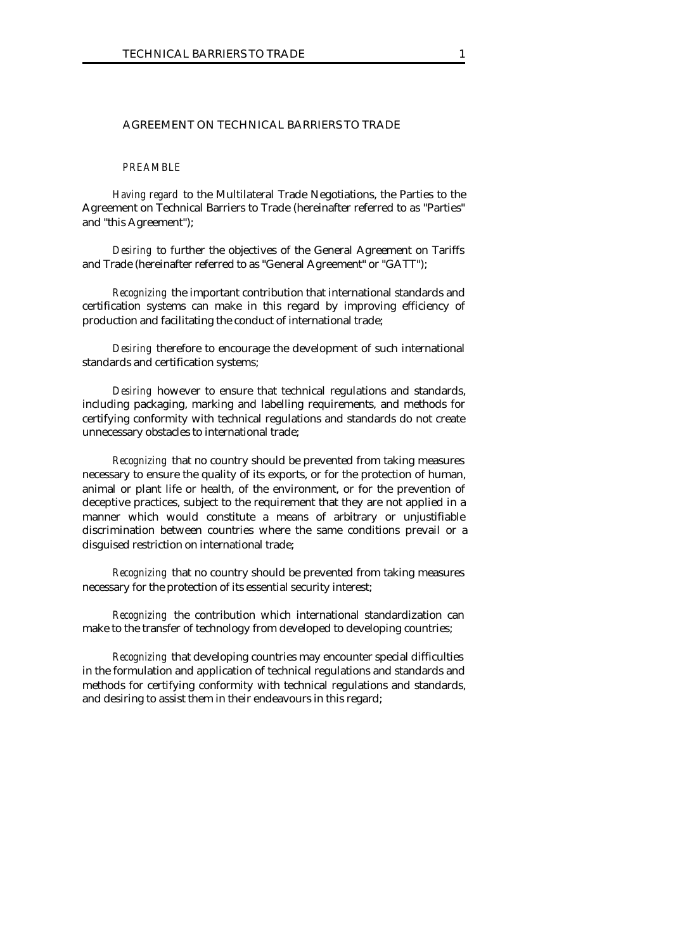#### AGREEMENT ON TECHNICAL BARRIERS TO TRADE

### *PREAMBLE*

*Having regard* to the Multilateral Trade Negotiations, the Parties to the Agreement on Technical Barriers to Trade (hereinafter referred to as "Parties" and "this Agreement");

*Desiring* to further the objectives of the General Agreement on Tariffs and Trade (hereinafter referred to as "General Agreement" or "GATT");

*Recognizing* the important contribution that international standards and certification systems can make in this regard by improving efficiency of production and facilitating the conduct of international trade;

*Desiring* therefore to encourage the development of such international standards and certification systems;

*Desiring* however to ensure that technical regulations and standards, including packaging, marking and labelling requirements, and methods for certifying conformity with technical regulations and standards do not create unnecessary obstacles to international trade;

*Recognizing* that no country should be prevented from taking measures necessary to ensure the quality of its exports, or for the protection of human, animal or plant life or health, of the environment, or for the prevention of deceptive practices, subject to the requirement that they are not applied in a manner which would constitute a means of arbitrary or unjustifiable discrimination between countries where the same conditions prevail or a disguised restriction on international trade;

*Recognizing* that no country should be prevented from taking measures necessary for the protection of its essential security interest;

*Recognizing* the contribution which international standardization can make to the transfer of technology from developed to developing countries;

*Recognizing* that developing countries may encounter special difficulties in the formulation and application of technical regulations and standards and methods for certifying conformity with technical regulations and standards, and desiring to assist them in their endeavours in this regard;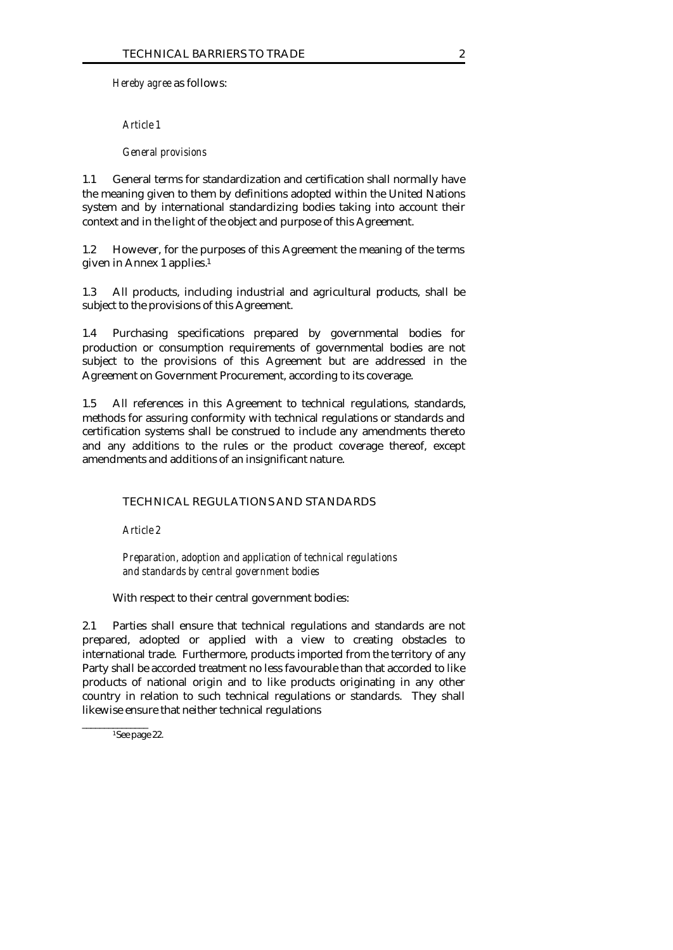*Hereby agree* as follows:

*Article 1*

*General provisions*

1.1 General terms for standardization and certification shall normally have the meaning given to them by definitions adopted within the United Nations system and by international standardizing bodies taking into account their context and in the light of the object and purpose of this Agreement.

1.2 However, for the purposes of this Agreement the meaning of the terms given in Annex 1 applies.<sup>1</sup>

1.3 All products, including industrial and agricultural products, shall be subject to the provisions of this Agreement.

1.4 Purchasing specifications prepared by governmental bodies for production or consumption requirements of governmental bodies are not subject to the provisions of this Agreement but are addressed in the Agreement on Government Procurement, according to its coverage.

1.5 All references in this Agreement to technical regulations, standards, methods for assuring conformity with technical regulations or standards and certification systems shall be construed to include any amendments thereto and any additions to the rules or the product coverage thereof, except amendments and additions of an insignificant nature.

# TECHNICAL REGULATIONS AND STANDARDS

*Article 2*

*Preparation, adoption and application of technical regulations and standards by central government bodies*

With respect to their central government bodies:

2.1 Parties shall ensure that technical regulations and standards are not prepared, adopted or applied with a view to creating obstacles to international trade. Furthermore, products imported from the territory of any Party shall be accorded treatment no less favourable than that accorded to like products of national origin and to like products originating in any other country in relation to such technical regulations or standards. They shall likewise ensure that neither technical regulations

\_\_\_\_\_\_\_\_\_\_\_\_\_\_\_ 1See page 22.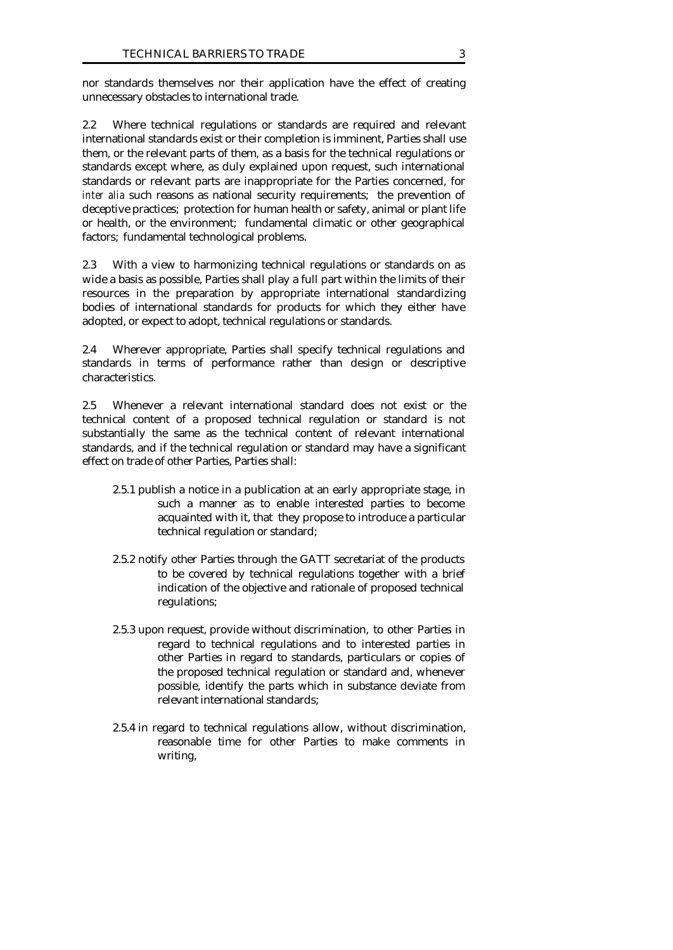nor standards themselves nor their application have the effect of creating unnecessary obstacles to international trade.

2.2 Where technical regulations or standards are required and relevant international standards exist or their completion is imminent, Parties shall use them, or the relevant parts of them, as a basis for the technical regulations or standards except where, as duly explained upon request, such international standards or relevant parts are inappropriate for the Parties concerned, for *inter alia* such reasons as national security requirements; the prevention of deceptive practices; protection for human health or safety, animal or plant life or health, or the environment; fundamental climatic or other geographical factors; fundamental technological problems.

2.3 With a view to harmonizing technical regulations or standards on as wide a basis as possible, Parties shall play a full part within the limits of their resources in the preparation by appropriate international standardizing bodies of international standards for products for which they either have adopted, or expect to adopt, technical regulations or standards.

2.4 Wherever appropriate, Parties shall specify technical regulations and standards in terms of performance rather than design or descriptive characteristics.

2.5 Whenever a relevant international standard does not exist or the technical content of a proposed technical regulation or standard is not substantially the same as the technical content of relevant international standards, and if the technical regulation or standard may have a significant effect on trade of other Parties, Parties shall:

- 2.5.1 publish a notice in a publication at an early appropriate stage, in such a manner as to enable interested parties to become acquainted with it, that they propose to introduce a particular technical regulation or standard;
- 2.5.2 notify other Parties through the GATT secretariat of the products to be covered by technical regulations together with a brief indication of the objective and rationale of proposed technical regulations;
- 2.5.3 upon request, provide without discrimination, to other Parties in regard to technical regulations and to interested parties in other Parties in regard to standards, particulars or copies of the proposed technical regulation or standard and, whenever possible, identify the parts which in substance deviate from relevant international standards;
- 2.5.4 in regard to technical regulations allow, without discrimination, reasonable time for other Parties to make comments in writing,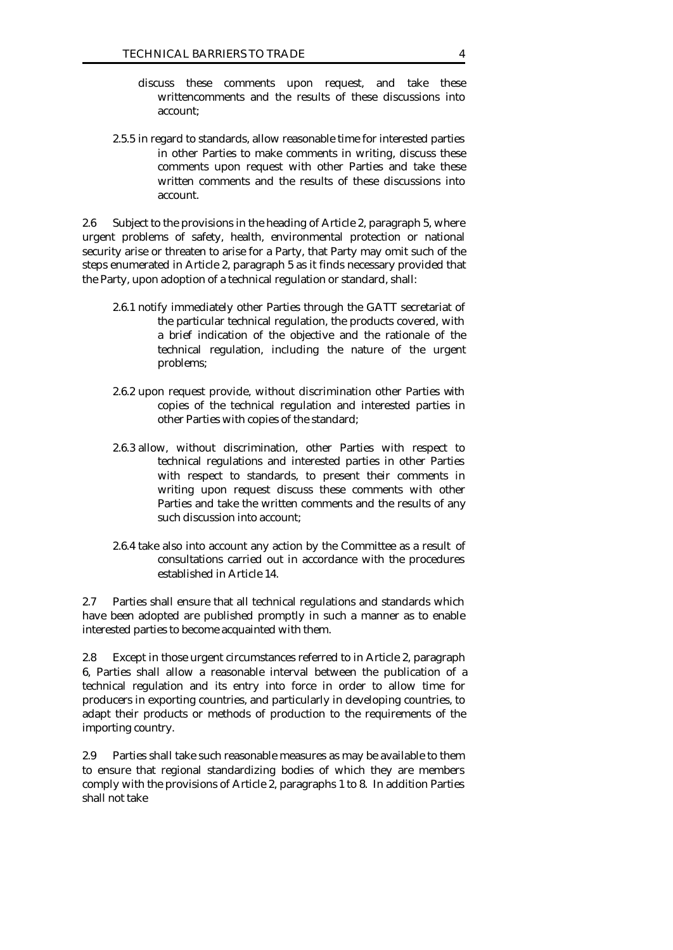- discuss these comments upon request, and take these writtencomments and the results of these discussions into account;
- 2.5.5 in regard to standards, allow reasonable time for interested parties in other Parties to make comments in writing, discuss these comments upon request with other Parties and take these written comments and the results of these discussions into account.

2.6 Subject to the provisions in the heading of Article 2, paragraph 5, where urgent problems of safety, health, environmental protection or national security arise or threaten to arise for a Party, that Party may omit such of the steps enumerated in Article 2, paragraph 5 as it finds necessary provided that the Party, upon adoption of a technical regulation or standard, shall:

- 2.6.1 notify immediately other Parties through the GATT secretariat of the particular technical regulation, the products covered, with a brief indication of the objective and the rationale of the technical regulation, including the nature of the urgent problems;
- 2.6.2 upon request provide, without discrimination other Parties with copies of the technical regulation and interested parties in other Parties with copies of the standard;
- 2.6.3 allow, without discrimination, other Parties with respect to technical regulations and interested parties in other Parties with respect to standards, to present their comments in writing upon request discuss these comments with other Parties and take the written comments and the results of any such discussion into account;
- 2.6.4 take also into account any action by the Committee as a result of consultations carried out in accordance with the procedures established in Article 14.

2.7 Parties shall ensure that all technical regulations and standards which have been adopted are published promptly in such a manner as to enable interested parties to become acquainted with them.

2.8 Except in those urgent circumstances referred to in Article 2, paragraph 6, Parties shall allow a reasonable interval between the publication of a technical regulation and its entry into force in order to allow time for producers in exporting countries, and particularly in developing countries, to adapt their products or methods of production to the requirements of the importing country.

2.9 Parties shall take such reasonable measures as may be available to them to ensure that regional standardizing bodies of which they are members comply with the provisions of Article 2, paragraphs 1 to 8. In addition Parties shall not take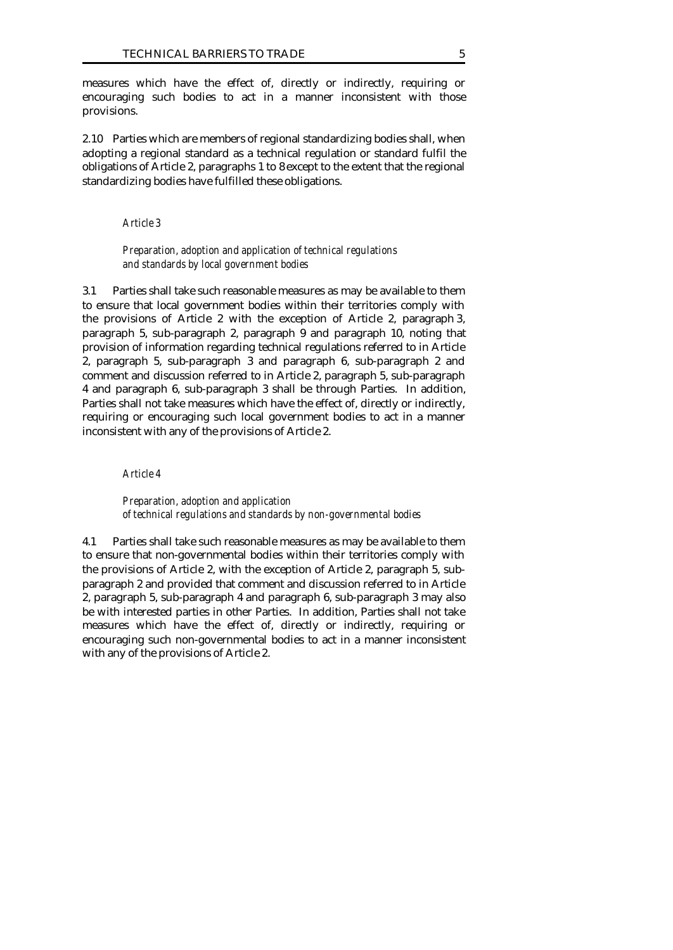measures which have the effect of, directly or indirectly, requiring or encouraging such bodies to act in a manner inconsistent with those provisions.

2.10 Parties which are members of regional standardizing bodies shall, when adopting a regional standard as a technical regulation or standard fulfil the obligations of Article 2, paragraphs 1 to 8 except to the extent that the regional standardizing bodies have fulfilled these obligations.

*Article 3*

### *Preparation, adoption and application of technical regulations and standards by local government bodies*

3.1 Parties shall take such reasonable measures as may be available to them to ensure that local government bodies within their territories comply with the provisions of Article 2 with the exception of Article 2, paragraph 3, paragraph 5, sub-paragraph 2, paragraph 9 and paragraph 10, noting that provision of information regarding technical regulations referred to in Article 2, paragraph 5, sub-paragraph 3 and paragraph 6, sub-paragraph 2 and comment and discussion referred to in Article 2, paragraph 5, sub-paragraph 4 and paragraph 6, sub-paragraph 3 shall be through Parties. In addition, Parties shall not take measures which have the effect of, directly or indirectly, requiring or encouraging such local government bodies to act in a manner inconsistent with any of the provisions of Article 2.

*Article 4*

*Preparation, adoption and application of technical regulations and standards by non-governmental bodies*

4.1 Parties shall take such reasonable measures as may be available to them to ensure that non-governmental bodies within their territories comply with the provisions of Article 2, with the exception of Article 2, paragraph 5, subparagraph 2 and provided that comment and discussion referred to in Article 2, paragraph 5, sub-paragraph 4 and paragraph 6, sub-paragraph 3 may also be with interested parties in other Parties. In addition, Parties shall not take measures which have the effect of, directly or indirectly, requiring or encouraging such non-governmental bodies to act in a manner inconsistent with any of the provisions of Article 2.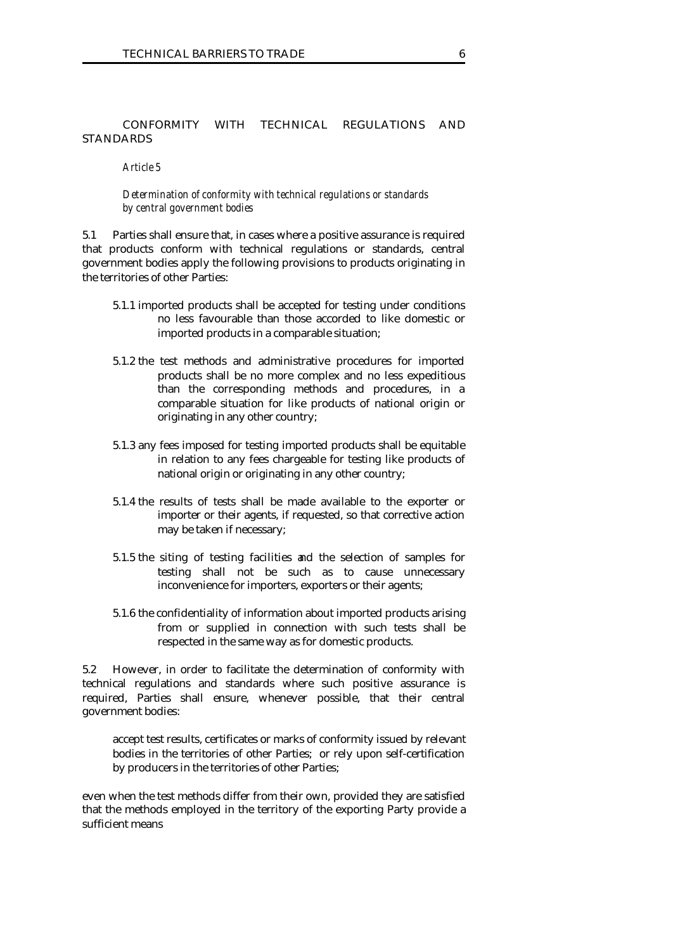# CONFORMITY WITH TECHNICAL REGULATIONS AND **STANDARDS**

*Article 5*

*Determination of conformity with technical regulations or standards by central government bodies*

5.1 Parties shall ensure that, in cases where a positive assurance is required that products conform with technical regulations or standards, central government bodies apply the following provisions to products originating in the territories of other Parties:

- 5.1.1 imported products shall be accepted for testing under conditions no less favourable than those accorded to like domestic or imported products in a comparable situation;
- 5.1.2 the test methods and administrative procedures for imported products shall be no more complex and no less expeditious than the corresponding methods and procedures, in a comparable situation for like products of national origin or originating in any other country;
- 5.1.3 any fees imposed for testing imported products shall be equitable in relation to any fees chargeable for testing like products of national origin or originating in any other country;
- 5.1.4 the results of tests shall be made available to the exporter or importer or their agents, if requested, so that corrective action may be taken if necessary;
- 5.1.5 the siting of testing facilities and the selection of samples for testing shall not be such as to cause unnecessary inconvenience for importers, exporters or their agents;
- 5.1.6 the confidentiality of information about imported products arising from or supplied in connection with such tests shall be respected in the same way as for domestic products.

5.2 However, in order to facilitate the determination of conformity with technical regulations and standards where such positive assurance is required, Parties shall ensure, whenever possible, that their central government bodies:

accept test results, certificates or marks of conformity issued by relevant bodies in the territories of other Parties; or rely upon self-certification by producers in the territories of other Parties;

even when the test methods differ from their own, provided they are satisfied that the methods employed in the territory of the exporting Party provide a sufficient means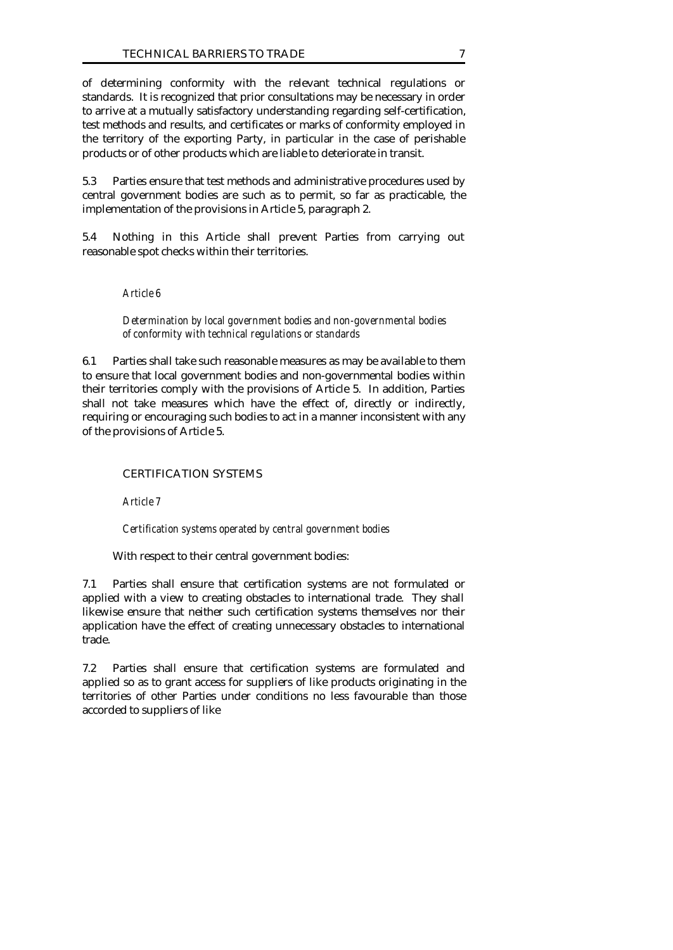of determining conformity with the relevant technical regulations or standards. It is recognized that prior consultations may be necessary in order to arrive at a mutually satisfactory understanding regarding self-certification, test methods and results, and certificates or marks of conformity employed in the territory of the exporting Party, in particular in the case of perishable products or of other products which are liable to deteriorate in transit.

5.3 Parties ensure that test methods and administrative procedures used by central government bodies are such as to permit, so far as practicable, the implementation of the provisions in Article 5, paragraph 2.

5.4 Nothing in this Article shall prevent Parties from carrying out reasonable spot checks within their territories.

### *Article 6*

## *Determination by local government bodies and non-governmental bodies of conformity with technical regulations or standards*

6.1 Parties shall take such reasonable measures as may be available to them to ensure that local government bodies and non-governmental bodies within their territories comply with the provisions of Article 5. In addition, Parties shall not take measures which have the effect of, directly or indirectly, requiring or encouraging such bodies to act in a manner inconsistent with any of the provisions of Article 5.

### CERTIFICATION SYSTEMS

*Article 7*

## *Certification systems operated by central government bodies*

With respect to their central government bodies:

7.1 Parties shall ensure that certification systems are not formulated or applied with a view to creating obstacles to international trade. They shall likewise ensure that neither such certification systems themselves nor their application have the effect of creating unnecessary obstacles to international trade.

7.2 Parties shall ensure that certification systems are formulated and applied so as to grant access for suppliers of like products originating in the territories of other Parties under conditions no less favourable than those accorded to suppliers of like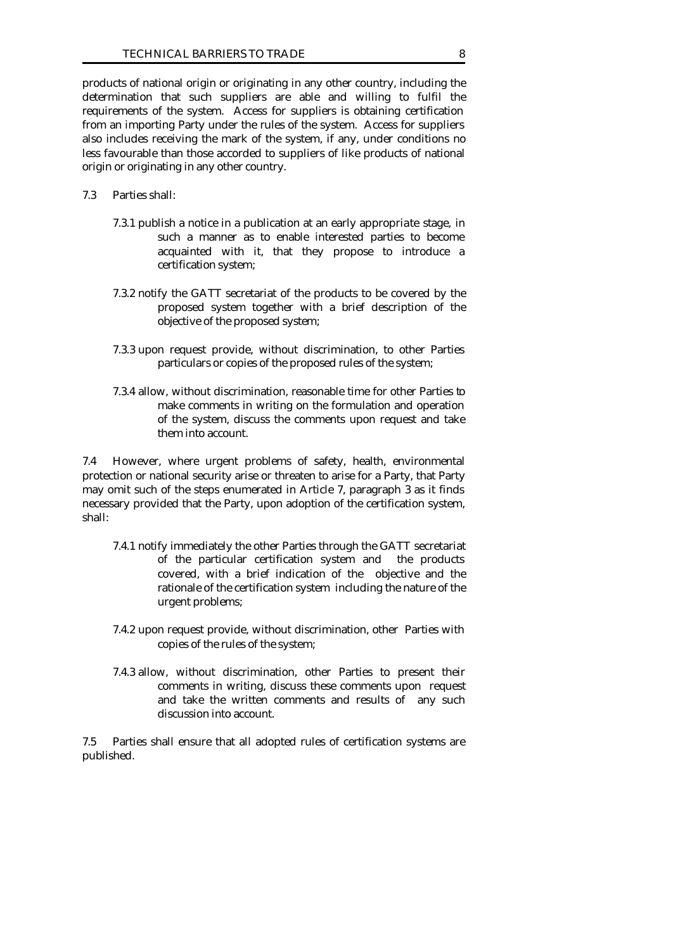products of national origin or originating in any other country, including the determination that such suppliers are able and willing to fulfil the requirements of the system. Access for suppliers is obtaining certification from an importing Party under the rules of the system. Access for suppliers also includes receiving the mark of the system, if any, under conditions no less favourable than those accorded to suppliers of like products of national origin or originating in any other country.

- 7.3 Parties shall:
	- 7.3.1 publish a notice in a publication at an early appropriate stage, in such a manner as to enable interested parties to become acquainted with it, that they propose to introduce a certification system;
	- 7.3.2 notify the GATT secretariat of the products to be covered by the proposed system together with a brief description of the objective of the proposed system;
	- 7.3.3 upon request provide, without discrimination, to other Parties particulars or copies of the proposed rules of the system;
	- 7.3.4 allow, without discrimination, reasonable time for other Parties to make comments in writing on the formulation and operation of the system, discuss the comments upon request and take them into account.

7.4 However, where urgent problems of safety, health, environmental protection or national security arise or threaten to arise for a Party, that Party may omit such of the steps enumerated in Article 7, paragraph 3 as it finds necessary provided that the Party, upon adoption of the certification system, shall:

- 7.4.1 notify immediately the other Parties through the GATT secretariat of the particular certification system and the products covered, with a brief indication of the objective and the rationale of the certification system including the nature of the urgent problems;
- 7.4.2 upon request provide, without discrimination, other Parties with copies of the rules of the system;
- 7.4.3 allow, without discrimination, other Parties to present their comments in writing, discuss these comments upon request and take the written comments and results of any such discussion into account.

7.5 Parties shall ensure that all adopted rules of certification systems are published.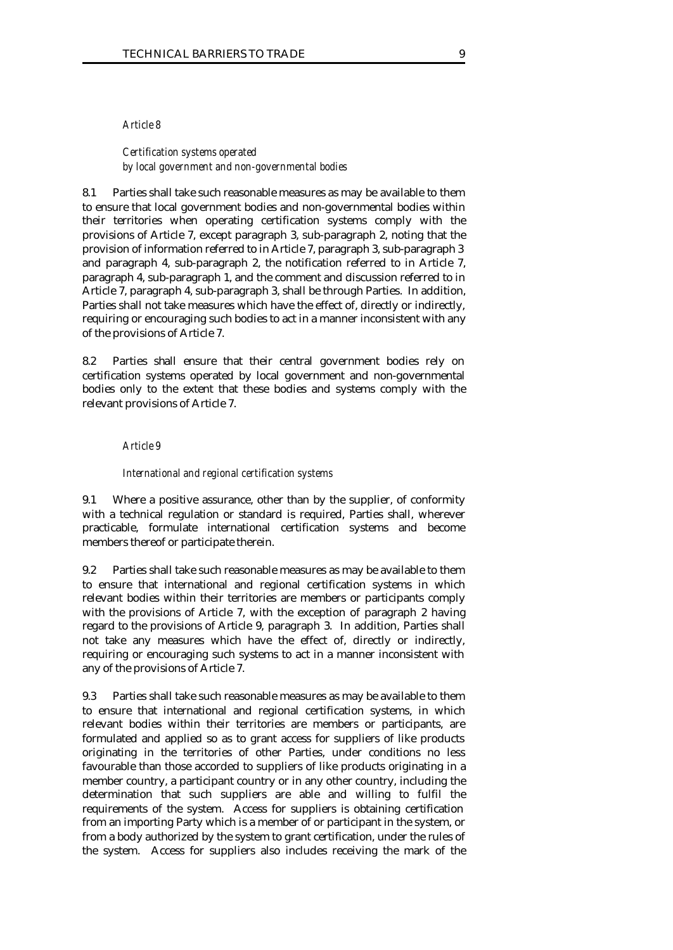#### *Article 8*

*Certification systems operated by local government and non-governmental bodies*

8.1 Parties shall take such reasonable measures as may be available to them to ensure that local government bodies and non-governmental bodies within their territories when operating certification systems comply with the provisions of Article 7, except paragraph 3, sub-paragraph 2, noting that the provision of information referred to in Article 7, paragraph 3, sub-paragraph 3 and paragraph 4, sub-paragraph 2, the notification referred to in Article 7, paragraph 4, sub-paragraph 1, and the comment and discussion referred to in Article 7, paragraph 4, sub-paragraph 3, shall be through Parties. In addition, Parties shall not take measures which have the effect of, directly or indirectly, requiring or encouraging such bodies to act in a manner inconsistent with any of the provisions of Article 7.

8.2 Parties shall ensure that their central government bodies rely on certification systems operated by local government and non-governmental bodies only to the extent that these bodies and systems comply with the relevant provisions of Article 7.

### *Article 9*

#### *International and regional certification systems*

9.1 Where a positive assurance, other than by the supplier, of conformity with a technical regulation or standard is required, Parties shall, wherever practicable, formulate international certification systems and become members thereof or participate therein.

9.2 Parties shall take such reasonable measures as may be available to them to ensure that international and regional certification systems in which relevant bodies within their territories are members or participants comply with the provisions of Article 7, with the exception of paragraph 2 having regard to the provisions of Article 9, paragraph 3. In addition, Parties shall not take any measures which have the effect of, directly or indirectly, requiring or encouraging such systems to act in a manner inconsistent with any of the provisions of Article 7.

9.3 Parties shall take such reasonable measures as may be available to them to ensure that international and regional certification systems, in which relevant bodies within their territories are members or participants, are formulated and applied so as to grant access for suppliers of like products originating in the territories of other Parties, under conditions no less favourable than those accorded to suppliers of like products originating in a member country, a participant country or in any other country, including the determination that such suppliers are able and willing to fulfil the requirements of the system. Access for suppliers is obtaining certification from an importing Party which is a member of or participant in the system, or from a body authorized by the system to grant certification, under the rules of the system. Access for suppliers also includes receiving the mark of the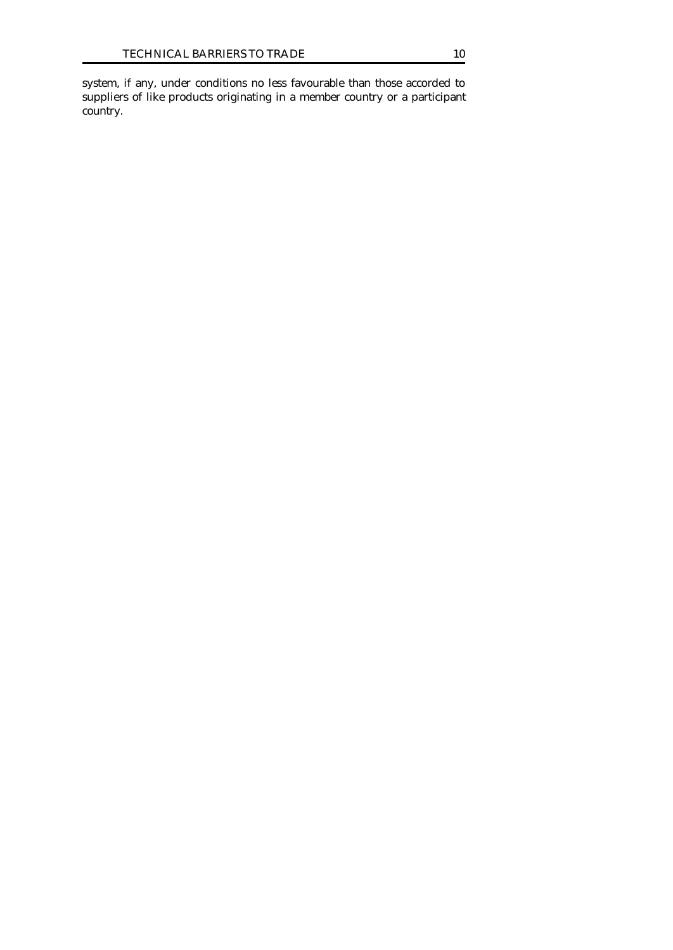system, if any, under conditions no less favourable than those accorded to suppliers of like products originating in a member country or a participant country.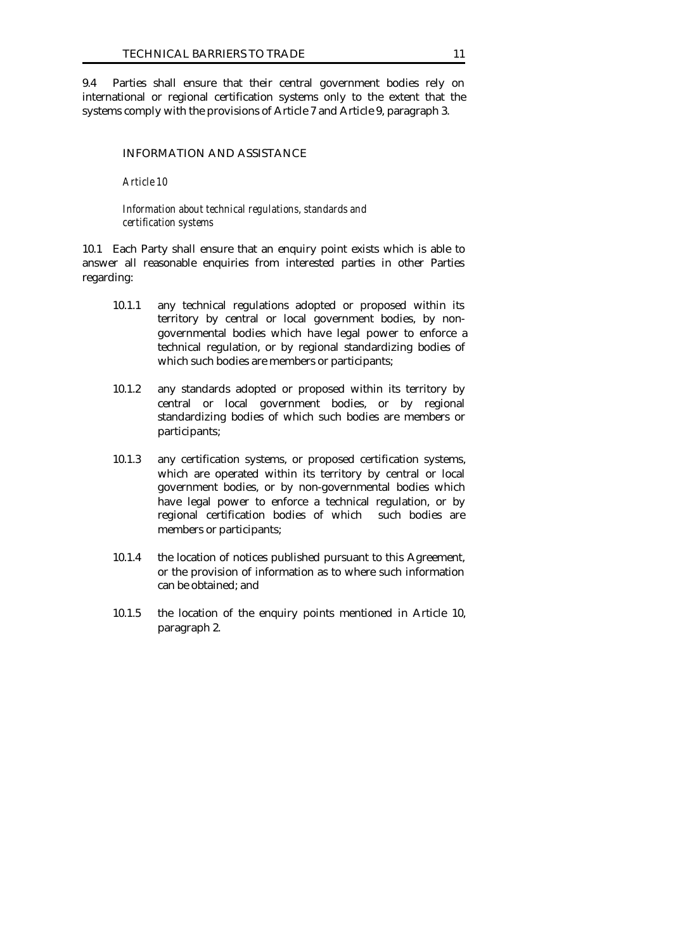9.4 Parties shall ensure that their central government bodies rely on international or regional certification systems only to the extent that the systems comply with the provisions of Article 7 and Article 9, paragraph 3.

### INFORMATION AND ASSISTANCE

*Article 10*

*Information about technical regulations, standards and certification systems*

10.1 Each Party shall ensure that an enquiry point exists which is able to answer all reasonable enquiries from interested parties in other Parties regarding:

- 10.1.1 any technical regulations adopted or proposed within its territory by central or local government bodies, by nongovernmental bodies which have legal power to enforce a technical regulation, or by regional standardizing bodies of which such bodies are members or participants;
- 10.1.2 any standards adopted or proposed within its territory by central or local government bodies, or by regional standardizing bodies of which such bodies are members or participants;
- 10.1.3 any certification systems, or proposed certification systems, which are operated within its territory by central or local government bodies, or by non-governmental bodies which have legal power to enforce a technical regulation, or by regional certification bodies of which such bodies are members or participants;
- 10.1.4 the location of notices published pursuant to this Agreement, or the provision of information as to where such information can be obtained; and
- 10.1.5 the location of the enquiry points mentioned in Article 10, paragraph 2.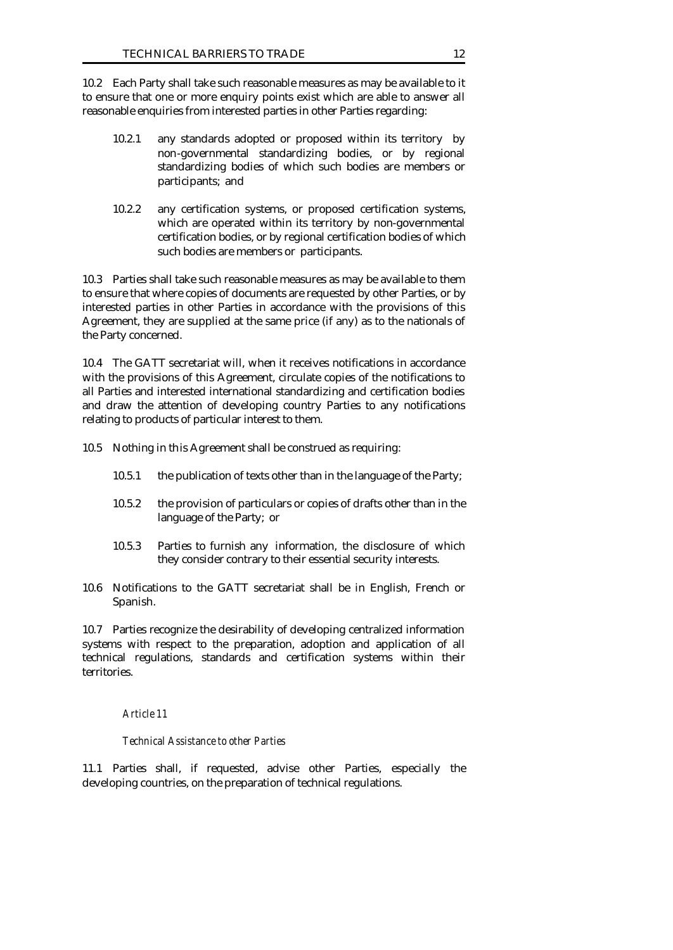10.2 Each Party shall take such reasonable measures as may be available to it to ensure that one or more enquiry points exist which are able to answer all reasonable enquiries from interested parties in other Parties regarding:

- 10.2.1 any standards adopted or proposed within its territory by non-governmental standardizing bodies, or by regional standardizing bodies of which such bodies are members or participants; and
- 10.2.2 any certification systems, or proposed certification systems, which are operated within its territory by non-governmental certification bodies, or by regional certification bodies of which such bodies are members or participants.

10.3 Parties shall take such reasonable measures as may be available to them to ensure that where copies of documents are requested by other Parties, or by interested parties in other Parties in accordance with the provisions of this Agreement, they are supplied at the same price (if any) as to the nationals of the Party concerned.

10.4 The GATT secretariat will, when it receives notifications in accordance with the provisions of this Agreement, circulate copies of the notifications to all Parties and interested international standardizing and certification bodies and draw the attention of developing country Parties to any notifications relating to products of particular interest to them.

- 10.5 Nothing in this Agreement shall be construed as requiring:
	- 10.5.1 the publication of texts other than in the language of the Party;
	- 10.5.2 the provision of particulars or copies of drafts other than in the language of the Party; or
	- 10.5.3 Parties to furnish any information, the disclosure of which they consider contrary to their essential security interests.
- 10.6 Notifications to the GATT secretariat shall be in English, French or Spanish.

10.7 Parties recognize the desirability of developing centralized information systems with respect to the preparation, adoption and application of all technical regulations, standards and certification systems within their territories.

## *Article 11*

## *Technical Assistance to other Parties*

11.1 Parties shall, if requested, advise other Parties, especially the developing countries, on the preparation of technical regulations.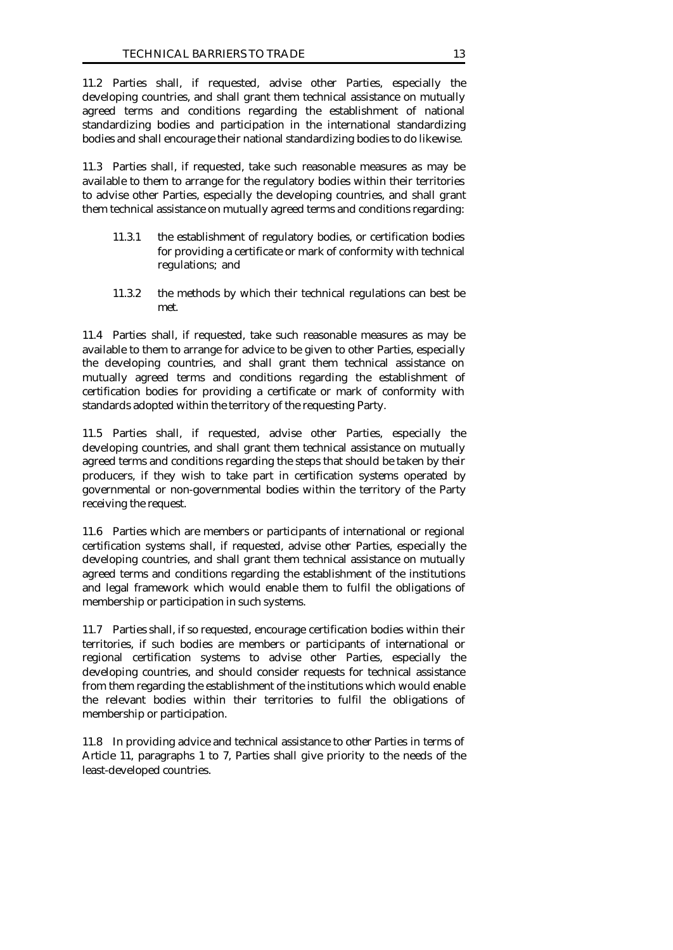11.2 Parties shall, if requested, advise other Parties, especially the developing countries, and shall grant them technical assistance on mutually agreed terms and conditions regarding the establishment of national standardizing bodies and participation in the international standardizing bodies and shall encourage their national standardizing bodies to do likewise.

11.3 Parties shall, if requested, take such reasonable measures as may be available to them to arrange for the regulatory bodies within their territories to advise other Parties, especially the developing countries, and shall grant them technical assistance on mutually agreed terms and conditions regarding:

- 11.3.1 the establishment of regulatory bodies, or certification bodies for providing a certificate or mark of conformity with technical regulations; and
- 11.3.2 the methods by which their technical regulations can best be met.

11.4 Parties shall, if requested, take such reasonable measures as may be available to them to arrange for advice to be given to other Parties, especially the developing countries, and shall grant them technical assistance on mutually agreed terms and conditions regarding the establishment of certification bodies for providing a certificate or mark of conformity with standards adopted within the territory of the requesting Party.

11.5 Parties shall, if requested, advise other Parties, especially the developing countries, and shall grant them technical assistance on mutually agreed terms and conditions regarding the steps that should be taken by their producers, if they wish to take part in certification systems operated by governmental or non-governmental bodies within the territory of the Party receiving the request.

11.6 Parties which are members or participants of international or regional certification systems shall, if requested, advise other Parties, especially the developing countries, and shall grant them technical assistance on mutually agreed terms and conditions regarding the establishment of the institutions and legal framework which would enable them to fulfil the obligations of membership or participation in such systems.

11.7 Parties shall, if so requested, encourage certification bodies within their territories, if such bodies are members or participants of international or regional certification systems to advise other Parties, especially the developing countries, and should consider requests for technical assistance from them regarding the establishment of the institutions which would enable the relevant bodies within their territories to fulfil the obligations of membership or participation.

11.8 In providing advice and technical assistance to other Parties in terms of Article 11, paragraphs 1 to 7, Parties shall give priority to the needs of the least-developed countries.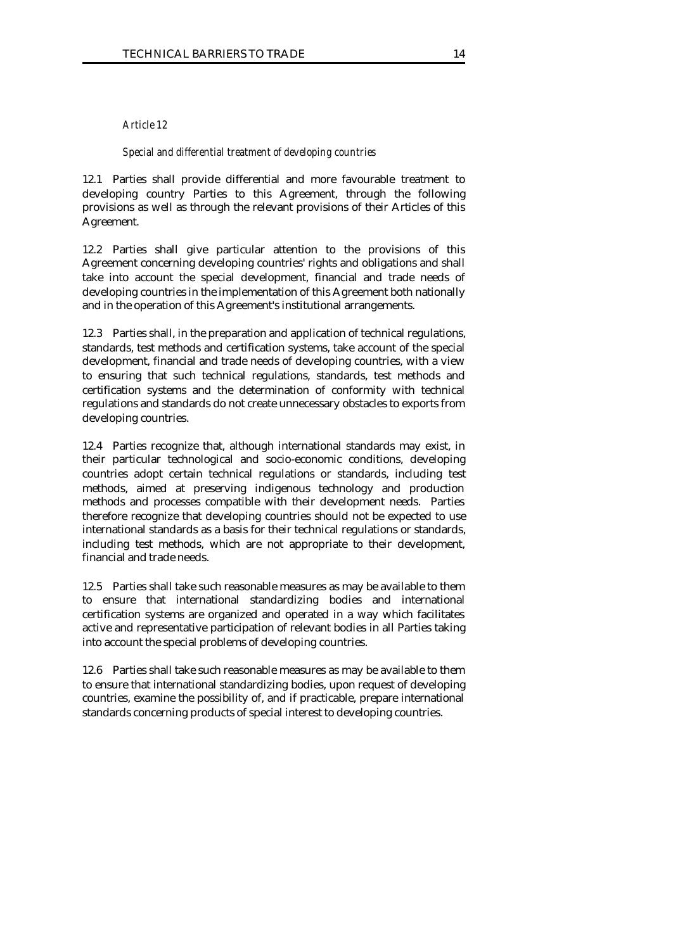#### *Article 12*

#### *Special and differential treatment of developing countries*

12.1 Parties shall provide differential and more favourable treatment to developing country Parties to this Agreement, through the following provisions as well as through the relevant provisions of their Articles of this Agreement.

12.2 Parties shall give particular attention to the provisions of this Agreement concerning developing countries' rights and obligations and shall take into account the special development, financial and trade needs of developing countries in the implementation of this Agreement both nationally and in the operation of this Agreement's institutional arrangements.

12.3 Parties shall, in the preparation and application of technical regulations, standards, test methods and certification systems, take account of the special development, financial and trade needs of developing countries, with a view to ensuring that such technical regulations, standards, test methods and certification systems and the determination of conformity with technical regulations and standards do not create unnecessary obstacles to exports from developing countries.

12.4 Parties recognize that, although international standards may exist, in their particular technological and socio-economic conditions, developing countries adopt certain technical regulations or standards, including test methods, aimed at preserving indigenous technology and production methods and processes compatible with their development needs. Parties therefore recognize that developing countries should not be expected to use international standards as a basis for their technical regulations or standards, including test methods, which are not appropriate to their development, financial and trade needs.

12.5 Parties shall take such reasonable measures as may be available to them to ensure that international standardizing bodies and international certification systems are organized and operated in a way which facilitates active and representative participation of relevant bodies in all Parties taking into account the special problems of developing countries.

12.6 Parties shall take such reasonable measures as may be available to them to ensure that international standardizing bodies, upon request of developing countries, examine the possibility of, and if practicable, prepare international standards concerning products of special interest to developing countries.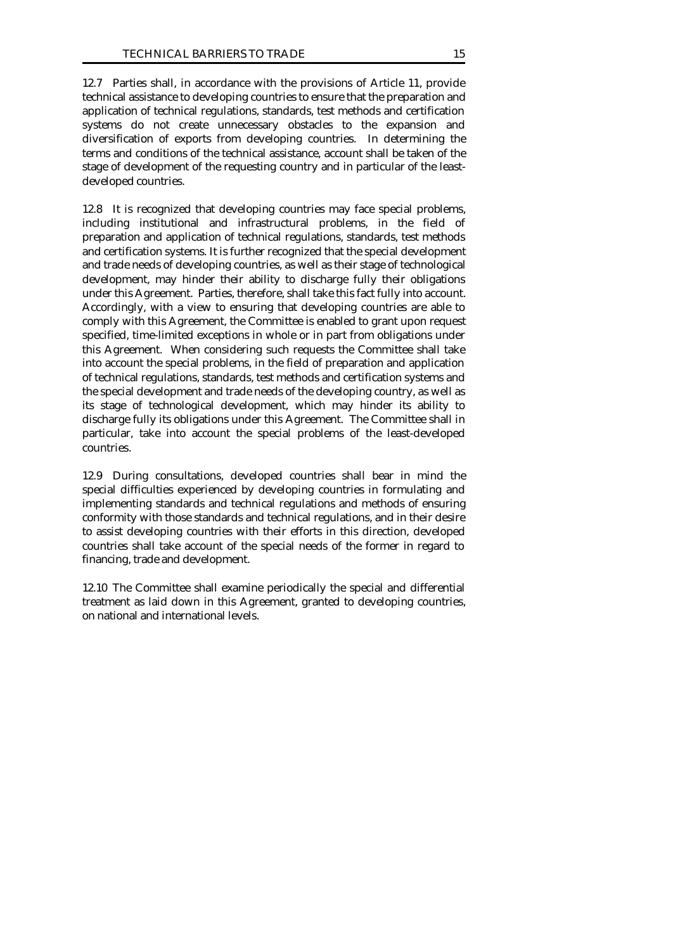12.7 Parties shall, in accordance with the provisions of Article 11, provide technical assistance to developing countries to ensure that the preparation and application of technical regulations, standards, test methods and certification systems do not create unnecessary obstacles to the expansion and diversification of exports from developing countries. In determining the terms and conditions of the technical assistance, account shall be taken of the stage of development of the requesting country and in particular of the leastdeveloped countries.

12.8 It is recognized that developing countries may face special problems, including institutional and infrastructural problems, in the field of preparation and application of technical regulations, standards, test methods and certification systems. It is further recognized that the special development and trade needs of developing countries, as well as their stage of technological development, may hinder their ability to discharge fully their obligations under this Agreement. Parties, therefore, shall take this fact fully into account. Accordingly, with a view to ensuring that developing countries are able to comply with this Agreement, the Committee is enabled to grant upon request specified, time-limited exceptions in whole or in part from obligations under this Agreement. When considering such requests the Committee shall take into account the special problems, in the field of preparation and application of technical regulations, standards, test methods and certification systems and the special development and trade needs of the developing country, as well as its stage of technological development, which may hinder its ability to discharge fully its obligations under this Agreement. The Committee shall in particular, take into account the special problems of the least-developed countries.

12.9 During consultations, developed countries shall bear in mind the special difficulties experienced by developing countries in formulating and implementing standards and technical regulations and methods of ensuring conformity with those standards and technical regulations, and in their desire to assist developing countries with their efforts in this direction, developed countries shall take account of the special needs of the former in regard to financing, trade and development.

12.10 The Committee shall examine periodically the special and differential treatment as laid down in this Agreement, granted to developing countries, on national and international levels.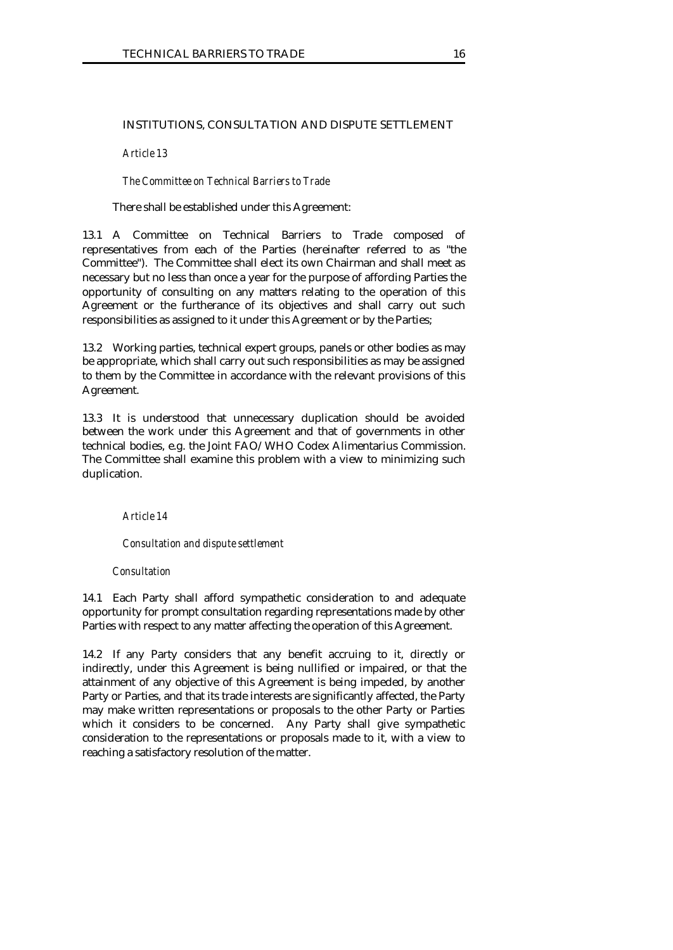## INSTITUTIONS, CONSULTATION AND DISPUTE SETTLEMENT

*Article 13*

*The Committee on Technical Barriers to Trade*

There shall be established under this Agreement:

13.1 A Committee on Technical Barriers to Trade composed of representatives from each of the Parties (hereinafter referred to as "the Committee"). The Committee shall elect its own Chairman and shall meet as necessary but no less than once a year for the purpose of affording Parties the opportunity of consulting on any matters relating to the operation of this Agreement or the furtherance of its objectives and shall carry out such responsibilities as assigned to it under this Agreement or by the Parties;

13.2 Working parties, technical expert groups, panels or other bodies as may be appropriate, which shall carry out such responsibilities as may be assigned to them by the Committee in accordance with the relevant provisions of this Agreement.

13.3 It is understood that unnecessary duplication should be avoided between the work under this Agreement and that of governments in other technical bodies, e.g. the Joint FAO/WHO Codex Alimentarius Commission. The Committee shall examine this problem with a view to minimizing such duplication.

*Article 14*

## *Consultation and dispute settlement*

#### *Consultation*

14.1 Each Party shall afford sympathetic consideration to and adequate opportunity for prompt consultation regarding representations made by other Parties with respect to any matter affecting the operation of this Agreement.

14.2 If any Party considers that any benefit accruing to it, directly or indirectly, under this Agreement is being nullified or impaired, or that the attainment of any objective of this Agreement is being impeded, by another Party or Parties, and that its trade interests are significantly affected, the Party may make written representations or proposals to the other Party or Parties which it considers to be concerned. Any Party shall give sympathetic consideration to the representations or proposals made to it, with a view to reaching a satisfactory resolution of the matter.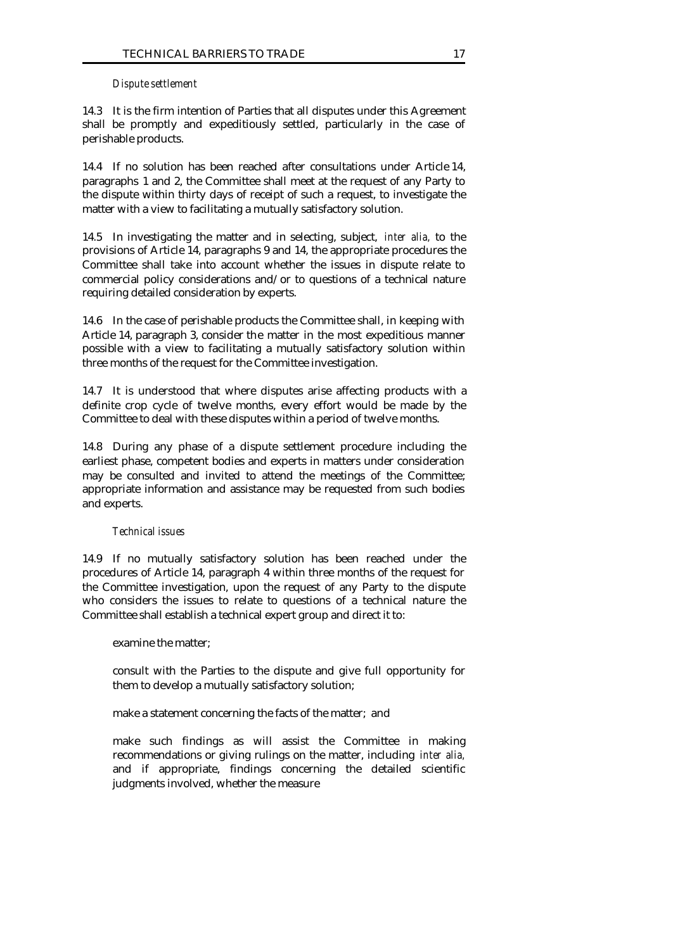### *Dispute settlement*

14.3 It is the firm intention of Parties that all disputes under this Agreement shall be promptly and expeditiously settled, particularly in the case of perishable products.

14.4 If no solution has been reached after consultations under Article 14, paragraphs 1 and 2, the Committee shall meet at the request of any Party to the dispute within thirty days of receipt of such a request, to investigate the matter with a view to facilitating a mutually satisfactory solution.

14.5 In investigating the matter and in selecting, subject, *inter alia,* to the provisions of Article 14, paragraphs 9 and 14, the appropriate procedures the Committee shall take into account whether the issues in dispute relate to commercial policy considerations and/or to questions of a technical nature requiring detailed consideration by experts.

14.6 In the case of perishable products the Committee shall, in keeping with Article 14, paragraph 3, consider the matter in the most expeditious manner possible with a view to facilitating a mutually satisfactory solution within three months of the request for the Committee investigation.

14.7 It is understood that where disputes arise affecting products with a definite crop cycle of twelve months, every effort would be made by the Committee to deal with these disputes within a period of twelve months.

14.8 During any phase of a dispute settlement procedure including the earliest phase, competent bodies and experts in matters under consideration may be consulted and invited to attend the meetings of the Committee; appropriate information and assistance may be requested from such bodies and experts.

## *Technical issues*

14.9 If no mutually satisfactory solution has been reached under the procedures of Article 14, paragraph 4 within three months of the request for the Committee investigation, upon the request of any Party to the dispute who considers the issues to relate to questions of a technical nature the Committee shall establish a technical expert group and direct it to:

## examine the matter;

consult with the Parties to the dispute and give full opportunity for them to develop a mutually satisfactory solution;

## make a statement concerning the facts of the matter; and

make such findings as will assist the Committee in making recommendations or giving rulings on the matter, including *inter alia,* and if appropriate, findings concerning the detailed scientific judgments involved, whether the measure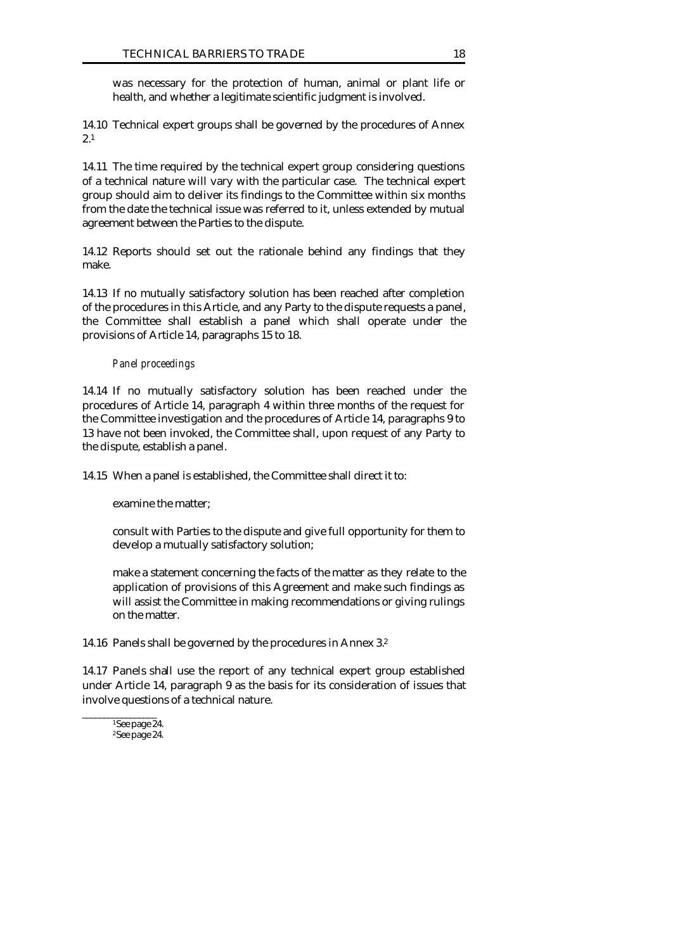was necessary for the protection of human, animal or plant life or health, and whether a legitimate scientific judgment is involved.

14.10 Technical expert groups shall be governed by the procedures of Annex 2.<sup>1</sup>

14.11 The time required by the technical expert group considering questions of a technical nature will vary with the particular case. The technical expert group should aim to deliver its findings to the Committee within six months from the date the technical issue was referred to it, unless extended by mutual agreement between the Parties to the dispute.

14.12 Reports should set out the rationale behind any findings that they make.

14.13 If no mutually satisfactory solution has been reached after completion of the procedures in this Article, and any Party to the dispute requests a panel, the Committee shall establish a panel which shall operate under the provisions of Article 14, paragraphs 15 to 18.

# *Panel proceedings*

14.14 If no mutually satisfactory solution has been reached under the procedures of Article 14, paragraph 4 within three months of the request for the Committee investigation and the procedures of Article 14, paragraphs 9 to 13 have not been invoked, the Committee shall, upon request of any Party to the dispute, establish a panel.

14.15 When a panel is established, the Committee shall direct it to:

examine the matter;

consult with Parties to the dispute and give full opportunity for them to develop a mutually satisfactory solution;

make a statement concerning the facts of the matter as they relate to the application of provisions of this Agreement and make such findings as will assist the Committee in making recommendations or giving rulings on the matter.

14.16 Panels shall be governed by the procedures in Annex 3.<sup>2</sup>

14.17 Panels shall use the report of any technical expert group established under Article 14, paragraph 9 as the basis for its consideration of issues that involve questions of a technical nature.

\_\_\_\_\_\_\_\_\_\_\_\_\_\_\_\_\_ <sup>1</sup>See page 24. 2See page 24.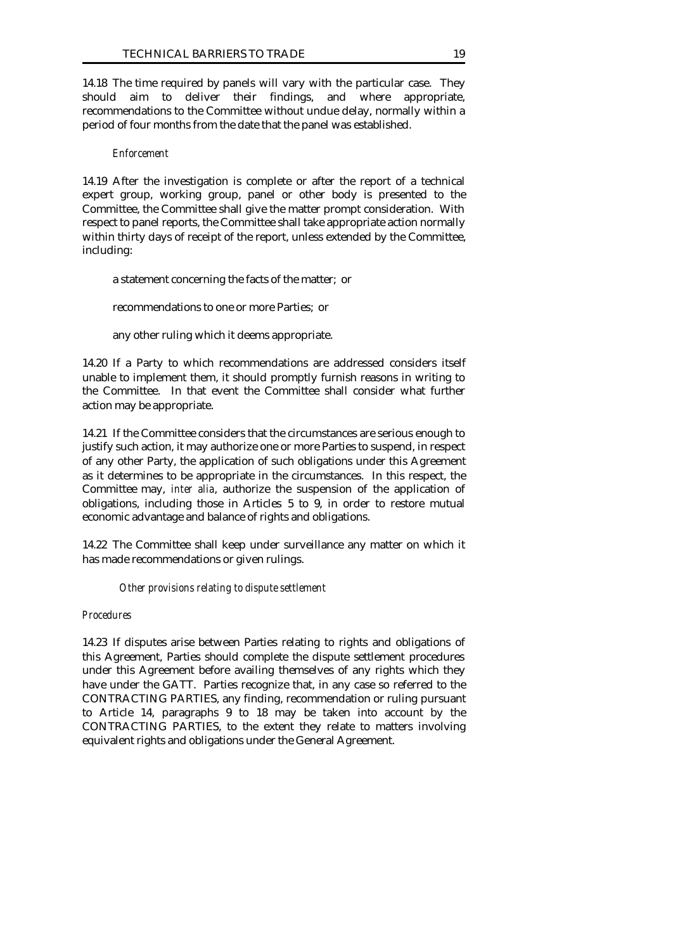14.18 The time required by panels will vary with the particular case. They should aim to deliver their findings, and where appropriate, recommendations to the Committee without undue delay, normally within a period of four months from the date that the panel was established.

### *Enforcement*

14.19 After the investigation is complete or after the report of a technical expert group, working group, panel or other body is presented to the Committee, the Committee shall give the matter prompt consideration. With respect to panel reports, the Committee shall take appropriate action normally within thirty days of receipt of the report, unless extended by the Committee, including:

a statement concerning the facts of the matter; or

recommendations to one or more Parties; or

any other ruling which it deems appropriate.

14.20 If a Party to which recommendations are addressed considers itself unable to implement them, it should promptly furnish reasons in writing to the Committee. In that event the Committee shall consider what further action may be appropriate.

14.21 If the Committee considers that the circumstances are serious enough to justify such action, it may authorize one or more Parties to suspend, in respect of any other Party, the application of such obligations under this Agreement as it determines to be appropriate in the circumstances. In this respect, the Committee may, *inter alia*, authorize the suspension of the application of obligations, including those in Articles 5 to 9, in order to restore mutual economic advantage and balance of rights and obligations.

14.22 The Committee shall keep under surveillance any matter on which it has made recommendations or given rulings.

#### *Other provisions relating to dispute settlement*

## *Procedures*

14.23 If disputes arise between Parties relating to rights and obligations of this Agreement, Parties should complete the dispute settlement procedures under this Agreement before availing themselves of any rights which they have under the GATT. Parties recognize that, in any case so referred to the CONTRACTING PARTIES, any finding, recommendation or ruling pursuant to Article 14, paragraphs 9 to 18 may be taken into account by the CONTRACTING PARTIES, to the extent they relate to matters involving equivalent rights and obligations under the General Agreement.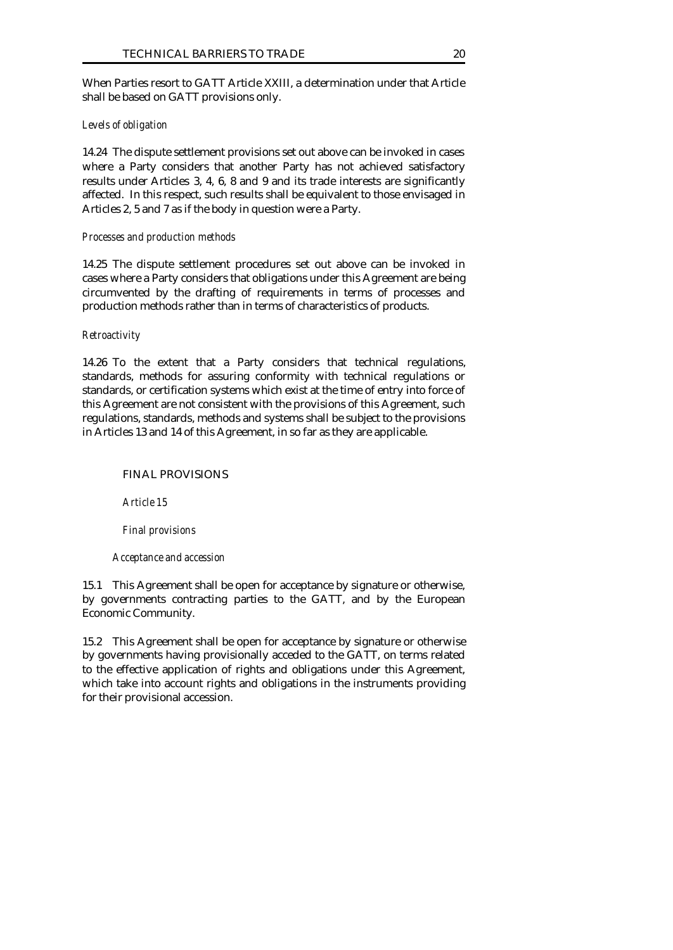When Parties resort to GATT Article XXIII, a determination under that Article shall be based on GATT provisions only.

# *Levels of obligation*

14.24 The dispute settlement provisions set out above can be invoked in cases where a Party considers that another Party has not achieved satisfactory results under Articles 3, 4, 6, 8 and 9 and its trade interests are significantly affected. In this respect, such results shall be equivalent to those envisaged in Articles 2, 5 and 7 as if the body in question were a Party.

# *Processes and production methods*

14.25 The dispute settlement procedures set out above can be invoked in cases where a Party considers that obligations under this Agreement are being circumvented by the drafting of requirements in terms of processes and production methods rather than in terms of characteristics of products.

# *Retroactivity*

14.26 To the extent that a Party considers that technical regulations, standards, methods for assuring conformity with technical regulations or standards, or certification systems which exist at the time of entry into force of this Agreement are not consistent with the provisions of this Agreement, such regulations, standards, methods and systems shall be subject to the provisions in Articles 13 and 14 of this Agreement, in so far as they are applicable.

# FINAL PROVISIONS

*Article 15*

## *Final provisions*

*Acceptance and accession*

15.1 This Agreement shall be open for acceptance by signature or otherwise, by governments contracting parties to the GATT, and by the European Economic Community.

15.2 This Agreement shall be open for acceptance by signature or otherwise by governments having provisionally acceded to the GATT, on terms related to the effective application of rights and obligations under this Agreement, which take into account rights and obligations in the instruments providing for their provisional accession.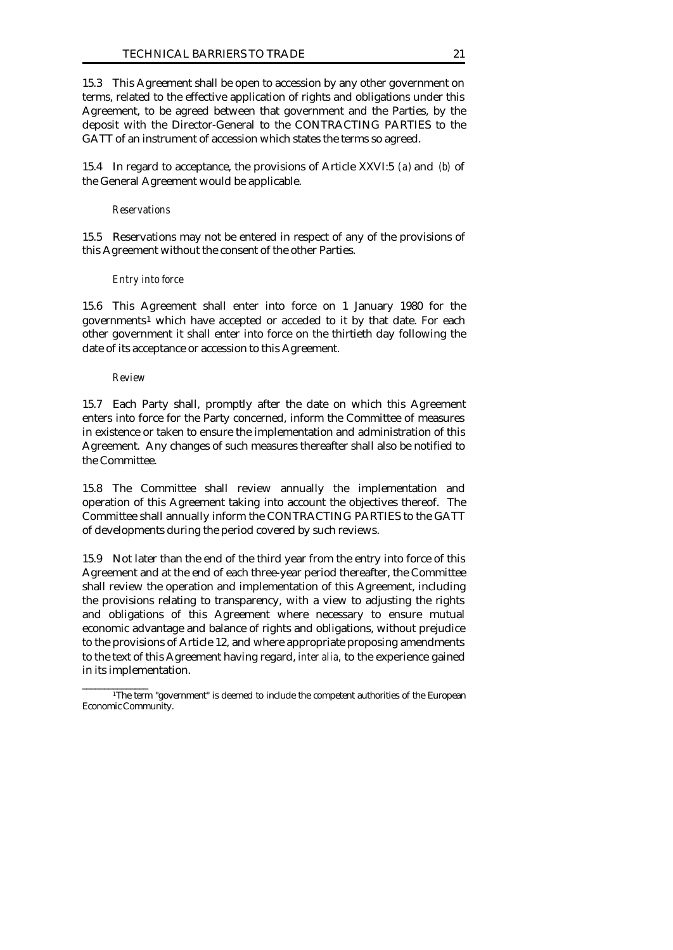15.3 This Agreement shall be open to accession by any other government on terms, related to the effective application of rights and obligations under this Agreement, to be agreed between that government and the Parties, by the deposit with the Director-General to the CONTRACTING PARTIES to the GATT of an instrument of accession which states the terms so agreed.

15.4 In regard to acceptance, the provisions of Article XXVI:5 *(a)* and *(b)* of the General Agreement would be applicable.

#### *Reservations*

15.5 Reservations may not be entered in respect of any of the provisions of this Agreement without the consent of the other Parties.

#### *Entry into force*

15.6 This Agreement shall enter into force on 1 January 1980 for the governments1 which have accepted or acceded to it by that date. For each other government it shall enter into force on the thirtieth day following the date of its acceptance or accession to this Agreement.

### *Review*

\_\_\_\_\_\_\_\_\_\_\_\_\_\_\_

15.7 Each Party shall, promptly after the date on which this Agreement enters into force for the Party concerned, inform the Committee of measures in existence or taken to ensure the implementation and administration of this Agreement. Any changes of such measures thereafter shall also be notified to the Committee.

15.8 The Committee shall review annually the implementation and operation of this Agreement taking into account the objectives thereof. The Committee shall annually inform the CONTRACTING PARTIES to the GATT of developments during the period covered by such reviews.

15.9 Not later than the end of the third year from the entry into force of this Agreement and at the end of each three-year period thereafter, the Committee shall review the operation and implementation of this Agreement, including the provisions relating to transparency, with a view to adjusting the rights and obligations of this Agreement where necessary to ensure mutual economic advantage and balance of rights and obligations, without prejudice to the provisions of Article 12, and where appropriate proposing amendments to the text of this Agreement having regard, *inter alia,* to the experience gained in its implementation.

<sup>&</sup>lt;sup>1</sup>The term "government" is deemed to include the competent authorities of the European Economic Community.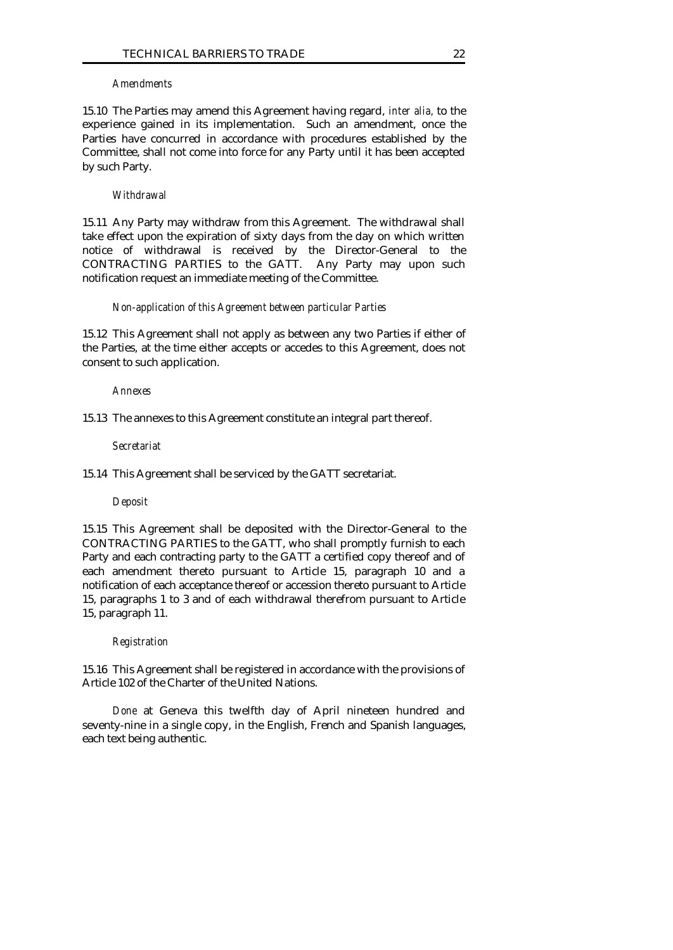### *Amendments*

15.10 The Parties may amend this Agreement having regard, *inter alia,* to the experience gained in its implementation. Such an amendment, once the Parties have concurred in accordance with procedures established by the Committee, shall not come into force for any Party until it has been accepted by such Party.

### *Withdrawal*

15.11 Any Party may withdraw from this Agreement. The withdrawal shall take effect upon the expiration of sixty days from the day on which written notice of withdrawal is received by the Director-General to the CONTRACTING PARTIES to the GATT. Any Party may upon such notification request an immediate meeting of the Committee.

### *Non-application of this Agreement between particular Parties*

15.12 This Agreement shall not apply as between any two Parties if either of the Parties, at the time either accepts or accedes to this Agreement, does not consent to such application.

#### *Annexes*

15.13 The annexes to this Agreement constitute an integral part thereof.

### *Secretariat*

15.14 This Agreement shall be serviced by the GATT secretariat.

## *Deposit*

15.15 This Agreement shall be deposited with the Director-General to the CONTRACTING PARTIES to the GATT, who shall promptly furnish to each Party and each contracting party to the GATT a certified copy thereof and of each amendment thereto pursuant to Article 15, paragraph 10 and a notification of each acceptance thereof or accession thereto pursuant to Article 15, paragraphs 1 to 3 and of each withdrawal therefrom pursuant to Article 15, paragraph 11.

## *Registration*

15.16 This Agreement shall be registered in accordance with the provisions of Article 102 of the Charter of the United Nations.

*Done* at Geneva this twelfth day of April nineteen hundred and seventy-nine in a single copy, in the English, French and Spanish languages, each text being authentic.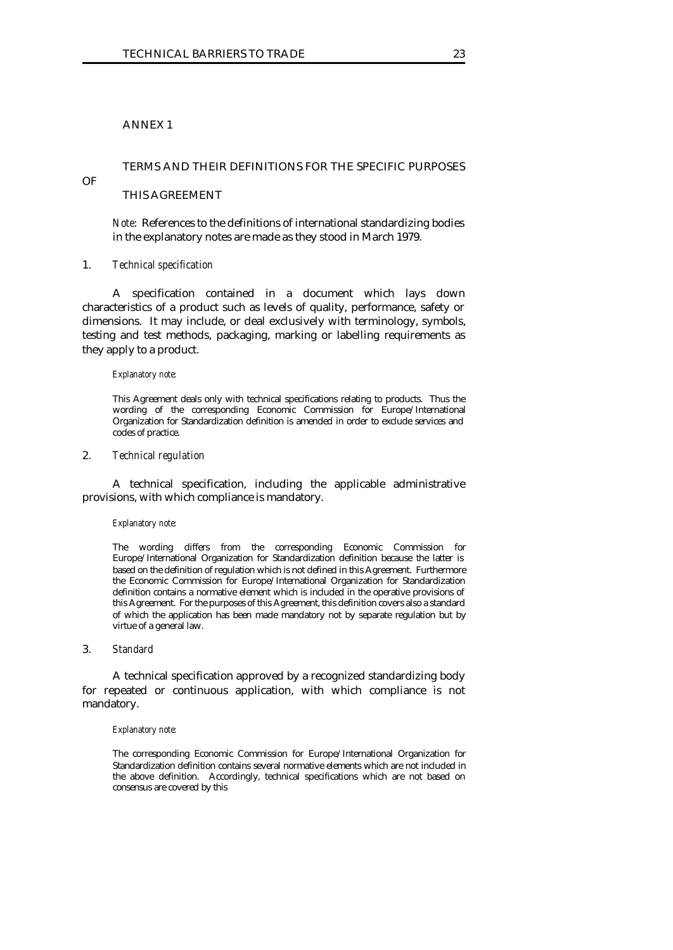#### ANNEX 1

#### TERMS AND THEIR DEFINITIONS FOR THE SPECIFIC PURPOSES

OF

#### THIS AGREEMENT

*Note*: References to the definitions of international standardizing bodies in the explanatory notes are made as they stood in March 1979.

### 1. *Technical specification*

A specification contained in a document which lays down characteristics of a product such as levels of quality, performance, safety or dimensions. It may include, or deal exclusively with terminology, symbols, testing and test methods, packaging, marking or labelling requirements as they apply to a product.

#### *Explanatory note:*

This Agreement deals only with technical specifications relating to products. Thus the wording of the corresponding Economic Commission for Europe/International Organization for Standardization definition is amended in order to exclude services and codes of practice.

### 2. *Technical regulation*

A technical specification, including the applicable administrative provisions, with which compliance is mandatory.

#### *Explanatory note:*

The wording differs from the corresponding Economic Commission for Europe/International Organization for Standardization definition because the latter is based on the definition of regulation which is not defined in this Agreement. Furthermore the Economic Commission for Europe/International Organization for Standardization definition contains a normative element which is included in the operative provisions of this Agreement. For the purposes of this Agreement, this definition covers also a standard of which the application has been made mandatory not by separate regulation but by virtue of a general law.

#### 3. *Standard*

A technical specification approved by a recognized standardizing body for repeated or continuous application, with which compliance is not mandatory.

#### *Explanatory note:*

The corresponding Economic Commission for Europe/International Organization for Standardization definition contains several normative elements which are not included in the above definition. Accordingly, technical specifications which are not based on consensus are covered by this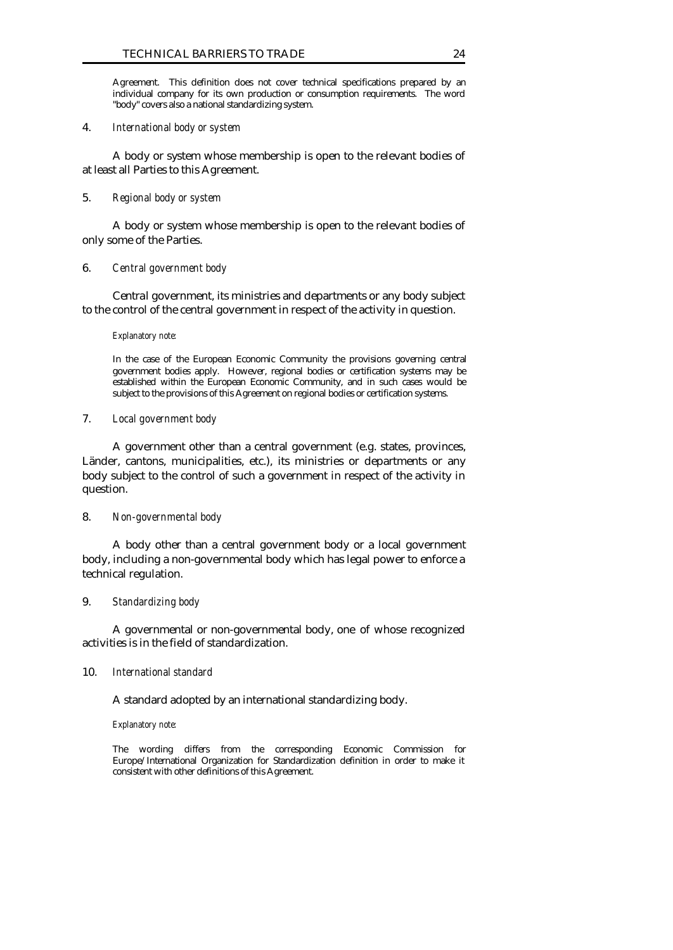Agreement. This definition does not cover technical specifications prepared by an individual company for its own production or consumption requirements. The word "body" covers also a national standardizing system.

### 4. *International body or system*

A body or system whose membership is open to the relevant bodies of at least all Parties to this Agreement.

#### 5. *Regional body or system*

A body or system whose membership is open to the relevant bodies of only some of the Parties.

#### 6. *Central government body*

Central government, its ministries and departments or any body subject to the control of the central government in respect of the activity in question.

#### *Explanatory note:*

In the case of the European Economic Community the provisions governing central government bodies apply. However, regional bodies or certification systems may be established within the European Economic Community, and in such cases would be subject to the provisions of this Agreement on regional bodies or certification systems.

### 7. *Local government body*

A government other than a central government (e.g. states, provinces, Länder, cantons, municipalities, etc.), its ministries or departments or any body subject to the control of such a government in respect of the activity in question.

### 8. *Non-governmental body*

A body other than a central government body or a local government body, including a non-governmental body which has legal power to enforce a technical regulation.

### 9. *Standardizing body*

A governmental or non-governmental body, one of whose recognized activities is in the field of standardization.

### 10. *International standard*

A standard adopted by an international standardizing body.

#### *Explanatory note:*

The wording differs from the corresponding Economic Commission for Europe/International Organization for Standardization definition in order to make it consistent with other definitions of this Agreement.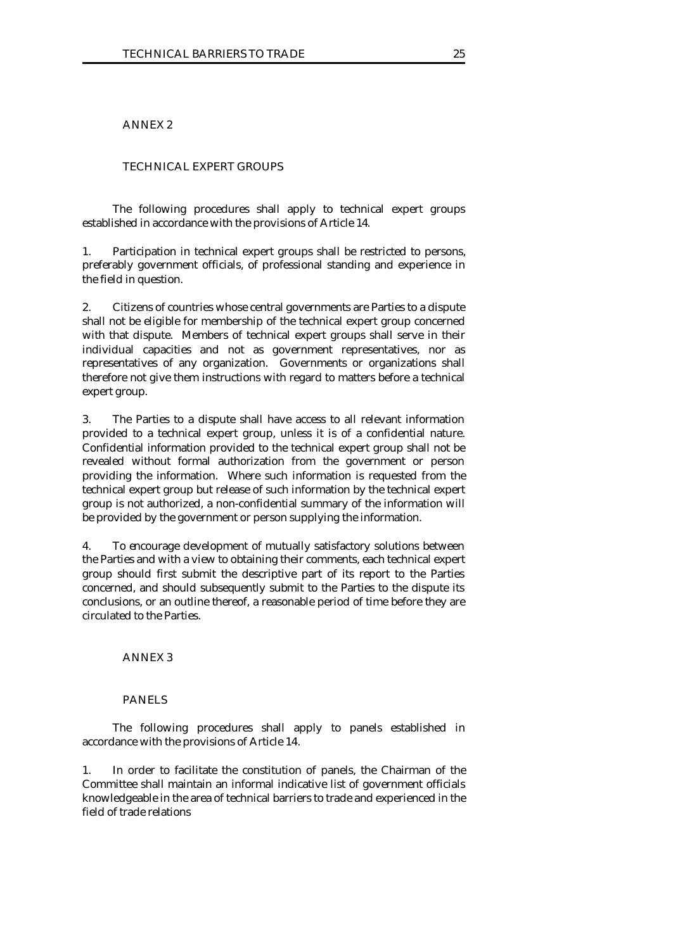### ANNEX 2

#### TECHNICAL EXPERT GROUPS

The following procedures shall apply to technical expert groups established in accordance with the provisions of Article 14.

1. Participation in technical expert groups shall be restricted to persons, preferably government officials, of professional standing and experience in the field in question.

2. Citizens of countries whose central governments are Parties to a dispute shall not be eligible for membership of the technical expert group concerned with that dispute. Members of technical expert groups shall serve in their individual capacities and not as government representatives, nor as representatives of any organization. Governments or organizations shall therefore not give them instructions with regard to matters before a technical expert group.

3. The Parties to a dispute shall have access to all relevant information provided to a technical expert group, unless it is of a confidential nature. Confidential information provided to the technical expert group shall not be revealed without formal authorization from the government or person providing the information. Where such information is requested from the technical expert group but release of such information by the technical expert group is not authorized, a non-confidential summary of the information will be provided by the government or person supplying the information.

4. To encourage development of mutually satisfactory solutions between the Parties and with a view to obtaining their comments, each technical expert group should first submit the descriptive part of its report to the Parties concerned, and should subsequently submit to the Parties to the dispute its conclusions, or an outline thereof, a reasonable period of time before they are circulated to the Parties.

### ANNEX 3

### PANELS

The following procedures shall apply to panels established in accordance with the provisions of Article 14.

1. In order to facilitate the constitution of panels, the Chairman of the Committee shall maintain an informal indicative list of government officials knowledgeable in the area of technical barriers to trade and experienced in the field of trade relations